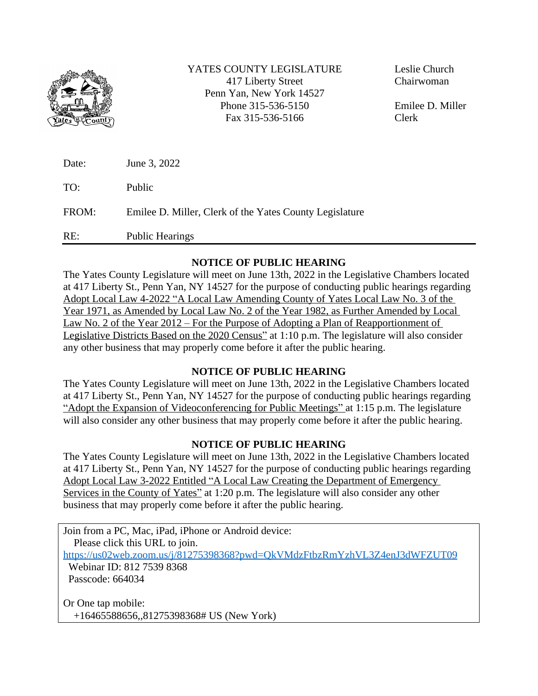

YATES COUNTY LEGISLATURE 417 Liberty Street Penn Yan, New York 14527 Phone 315-536-5150 Fax 315-536-5166

Leslie Church Chairwoman

Emilee D. Miller Clerk

| Date: | June 3, 2022                                            |
|-------|---------------------------------------------------------|
| TO:   | Public                                                  |
| FROM: | Emilee D. Miller, Clerk of the Yates County Legislature |
| RE:   | <b>Public Hearings</b>                                  |

## **NOTICE OF PUBLIC HEARING**

The Yates County Legislature will meet on June 13th, 2022 in the Legislative Chambers located at 417 Liberty St., Penn Yan, NY 14527 for the purpose of conducting public hearings regarding Adopt Local Law 4-2022 "A Local Law Amending County of Yates Local Law No. 3 of the Year 1971, as Amended by Local Law No. 2 of the Year 1982, as Further Amended by Local Law No. 2 of the Year 2012 – For the Purpose of Adopting a Plan of Reapportionment of Legislative Districts Based on the 2020 Census" at 1:10 p.m. The legislature will also consider any other business that may properly come before it after the public hearing.

## **NOTICE OF PUBLIC HEARING**

The Yates County Legislature will meet on June 13th, 2022 in the Legislative Chambers located at 417 Liberty St., Penn Yan, NY 14527 for the purpose of conducting public hearings regarding "Adopt the Expansion of Videoconferencing for Public Meetings" at 1:15 p.m. The legislature will also consider any other business that may properly come before it after the public hearing.

## **NOTICE OF PUBLIC HEARING**

The Yates County Legislature will meet on June 13th, 2022 in the Legislative Chambers located at 417 Liberty St., Penn Yan, NY 14527 for the purpose of conducting public hearings regarding Adopt Local Law 3-2022 Entitled "A Local Law Creating the Department of Emergency Services in the County of Yates" at 1:20 p.m. The legislature will also consider any other business that may properly come before it after the public hearing.

Join from a PC, Mac, iPad, iPhone or Android device: Please click this URL to join. <https://us02web.zoom.us/j/81275398368?pwd=QkVMdzFtbzRmYzhVL3Z4enJ3dWFZUT09> Webinar ID: 812 7539 8368 Passcode: 664034 Or One tap mobile: +16465588656,,81275398368# US (New York)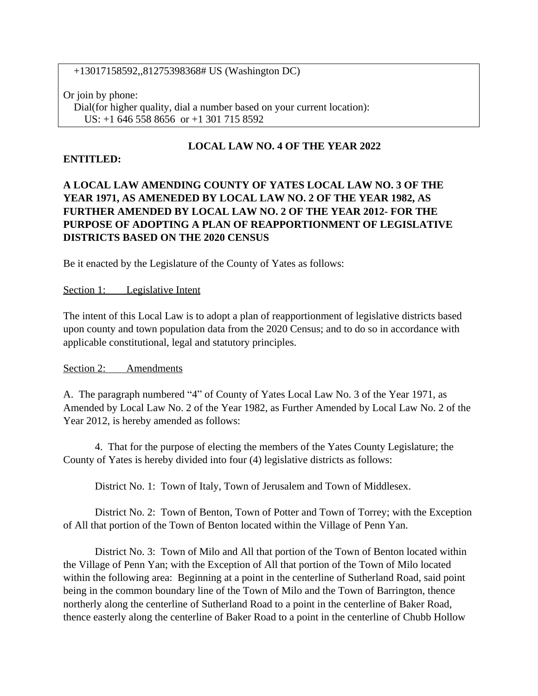+13017158592,,81275398368# US (Washington DC)

Or join by phone: Dial(for higher quality, dial a number based on your current location): US: +1 646 558 8656 or +1 301 715 8592

## **LOCAL LAW NO. 4 OF THE YEAR 2022**

#### **ENTITLED:**

# **A LOCAL LAW AMENDING COUNTY OF YATES LOCAL LAW NO. 3 OF THE YEAR 1971, AS AMENEDED BY LOCAL LAW NO. 2 OF THE YEAR 1982, AS FURTHER AMENDED BY LOCAL LAW NO. 2 OF THE YEAR 2012- FOR THE PURPOSE OF ADOPTING A PLAN OF REAPPORTIONMENT OF LEGISLATIVE DISTRICTS BASED ON THE 2020 CENSUS**

Be it enacted by the Legislature of the County of Yates as follows:

#### Section 1: Legislative Intent

The intent of this Local Law is to adopt a plan of reapportionment of legislative districts based upon county and town population data from the 2020 Census; and to do so in accordance with applicable constitutional, legal and statutory principles.

Section 2: Amendments

A. The paragraph numbered "4" of County of Yates Local Law No. 3 of the Year 1971, as Amended by Local Law No. 2 of the Year 1982, as Further Amended by Local Law No. 2 of the Year 2012, is hereby amended as follows:

4. That for the purpose of electing the members of the Yates County Legislature; the County of Yates is hereby divided into four (4) legislative districts as follows:

District No. 1: Town of Italy, Town of Jerusalem and Town of Middlesex.

District No. 2: Town of Benton, Town of Potter and Town of Torrey; with the Exception of All that portion of the Town of Benton located within the Village of Penn Yan.

District No. 3: Town of Milo and All that portion of the Town of Benton located within the Village of Penn Yan; with the Exception of All that portion of the Town of Milo located within the following area: Beginning at a point in the centerline of Sutherland Road, said point being in the common boundary line of the Town of Milo and the Town of Barrington, thence northerly along the centerline of Sutherland Road to a point in the centerline of Baker Road, thence easterly along the centerline of Baker Road to a point in the centerline of Chubb Hollow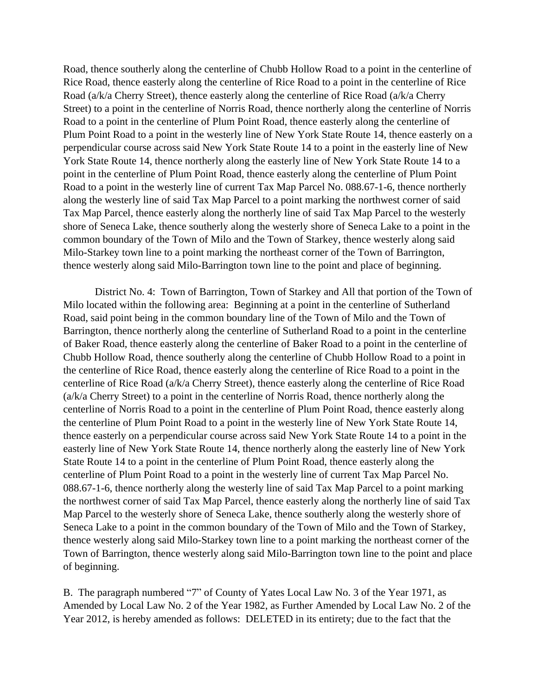Road, thence southerly along the centerline of Chubb Hollow Road to a point in the centerline of Rice Road, thence easterly along the centerline of Rice Road to a point in the centerline of Rice Road (a/k/a Cherry Street), thence easterly along the centerline of Rice Road (a/k/a Cherry Street) to a point in the centerline of Norris Road, thence northerly along the centerline of Norris Road to a point in the centerline of Plum Point Road, thence easterly along the centerline of Plum Point Road to a point in the westerly line of New York State Route 14, thence easterly on a perpendicular course across said New York State Route 14 to a point in the easterly line of New York State Route 14, thence northerly along the easterly line of New York State Route 14 to a point in the centerline of Plum Point Road, thence easterly along the centerline of Plum Point Road to a point in the westerly line of current Tax Map Parcel No. 088.67-1-6, thence northerly along the westerly line of said Tax Map Parcel to a point marking the northwest corner of said Tax Map Parcel, thence easterly along the northerly line of said Tax Map Parcel to the westerly shore of Seneca Lake, thence southerly along the westerly shore of Seneca Lake to a point in the common boundary of the Town of Milo and the Town of Starkey, thence westerly along said Milo-Starkey town line to a point marking the northeast corner of the Town of Barrington, thence westerly along said Milo-Barrington town line to the point and place of beginning.

District No. 4: Town of Barrington, Town of Starkey and All that portion of the Town of Milo located within the following area: Beginning at a point in the centerline of Sutherland Road, said point being in the common boundary line of the Town of Milo and the Town of Barrington, thence northerly along the centerline of Sutherland Road to a point in the centerline of Baker Road, thence easterly along the centerline of Baker Road to a point in the centerline of Chubb Hollow Road, thence southerly along the centerline of Chubb Hollow Road to a point in the centerline of Rice Road, thence easterly along the centerline of Rice Road to a point in the centerline of Rice Road (a/k/a Cherry Street), thence easterly along the centerline of Rice Road (a/k/a Cherry Street) to a point in the centerline of Norris Road, thence northerly along the centerline of Norris Road to a point in the centerline of Plum Point Road, thence easterly along the centerline of Plum Point Road to a point in the westerly line of New York State Route 14, thence easterly on a perpendicular course across said New York State Route 14 to a point in the easterly line of New York State Route 14, thence northerly along the easterly line of New York State Route 14 to a point in the centerline of Plum Point Road, thence easterly along the centerline of Plum Point Road to a point in the westerly line of current Tax Map Parcel No. 088.67-1-6, thence northerly along the westerly line of said Tax Map Parcel to a point marking the northwest corner of said Tax Map Parcel, thence easterly along the northerly line of said Tax Map Parcel to the westerly shore of Seneca Lake, thence southerly along the westerly shore of Seneca Lake to a point in the common boundary of the Town of Milo and the Town of Starkey, thence westerly along said Milo-Starkey town line to a point marking the northeast corner of the Town of Barrington, thence westerly along said Milo-Barrington town line to the point and place of beginning.

B. The paragraph numbered "7" of County of Yates Local Law No. 3 of the Year 1971, as Amended by Local Law No. 2 of the Year 1982, as Further Amended by Local Law No. 2 of the Year 2012, is hereby amended as follows: DELETED in its entirety; due to the fact that the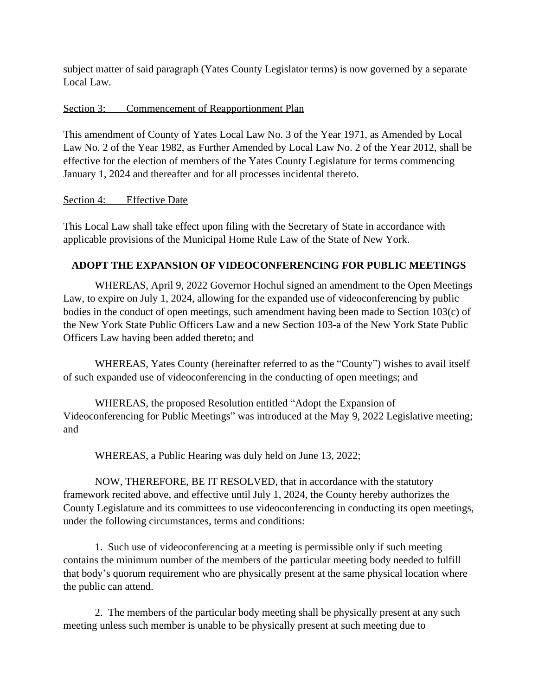subject matter of said paragraph (Yates County Legislator terms) is now governed by a separate Local Law.

## Section 3: Commencement of Reapportionment Plan

This amendment of County of Yates Local Law No. 3 of the Year 1971, as Amended by Local Law No. 2 of the Year 1982, as Further Amended by Local Law No. 2 of the Year 2012, shall be effective for the election of members of the Yates County Legislature for terms commencing January 1, 2024 and thereafter and for all processes incidental thereto.

#### Section 4: Effective Date

This Local Law shall take effect upon filing with the Secretary of State in accordance with applicable provisions of the Municipal Home Rule Law of the State of New York.

## **ADOPT THE EXPANSION OF VIDEOCONFERENCING FOR PUBLIC MEETINGS**

WHEREAS, April 9, 2022 Governor Hochul signed an amendment to the Open Meetings Law, to expire on July 1, 2024, allowing for the expanded use of videoconferencing by public bodies in the conduct of open meetings, such amendment having been made to Section 103(c) of the New York State Public Officers Law and a new Section 103-a of the New York State Public Officers Law having been added thereto; and

WHEREAS, Yates County (hereinafter referred to as the "County") wishes to avail itself of such expanded use of videoconferencing in the conducting of open meetings; and

WHEREAS, the proposed Resolution entitled "Adopt the Expansion of Videoconferencing for Public Meetings" was introduced at the May 9, 2022 Legislative meeting; and

WHEREAS, a Public Hearing was duly held on June 13, 2022;

NOW, THEREFORE, BE IT RESOLVED, that in accordance with the statutory framework recited above, and effective until July 1, 2024, the County hereby authorizes the County Legislature and its committees to use videoconferencing in conducting its open meetings, under the following circumstances, terms and conditions:

1. Such use of videoconferencing at a meeting is permissible only if such meeting contains the minimum number of the members of the particular meeting body needed to fulfill that body's quorum requirement who are physically present at the same physical location where the public can attend.

2. The members of the particular body meeting shall be physically present at any such meeting unless such member is unable to be physically present at such meeting due to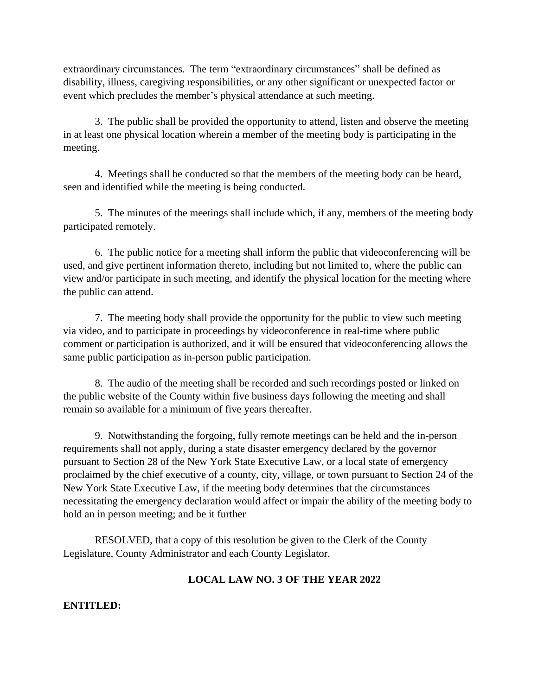extraordinary circumstances. The term "extraordinary circumstances" shall be defined as disability, illness, caregiving responsibilities, or any other significant or unexpected factor or event which precludes the member's physical attendance at such meeting.

3. The public shall be provided the opportunity to attend, listen and observe the meeting in at least one physical location wherein a member of the meeting body is participating in the meeting.

4. Meetings shall be conducted so that the members of the meeting body can be heard, seen and identified while the meeting is being conducted.

5. The minutes of the meetings shall include which, if any, members of the meeting body participated remotely.

6. The public notice for a meeting shall inform the public that videoconferencing will be used, and give pertinent information thereto, including but not limited to, where the public can view and/or participate in such meeting, and identify the physical location for the meeting where the public can attend.

7. The meeting body shall provide the opportunity for the public to view such meeting via video, and to participate in proceedings by videoconference in real-time where public comment or participation is authorized, and it will be ensured that videoconferencing allows the same public participation as in-person public participation.

8. The audio of the meeting shall be recorded and such recordings posted or linked on the public website of the County within five business days following the meeting and shall remain so available for a minimum of five years thereafter.

9. Notwithstanding the forgoing, fully remote meetings can be held and the in-person requirements shall not apply, during a state disaster emergency declared by the governor pursuant to Section 28 of the New York State Executive Law, or a local state of emergency proclaimed by the chief executive of a county, city, village, or town pursuant to Section 24 of the New York State Executive Law, if the meeting body determines that the circumstances necessitating the emergency declaration would affect or impair the ability of the meeting body to hold an in person meeting; and be it further

RESOLVED, that a copy of this resolution be given to the Clerk of the County Legislature, County Administrator and each County Legislator.

# **LOCAL LAW NO. 3 OF THE YEAR 2022**

**ENTITLED:**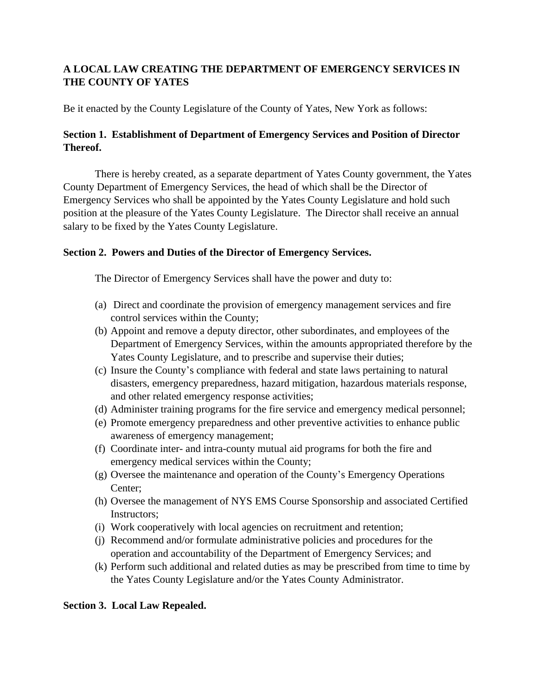# **A LOCAL LAW CREATING THE DEPARTMENT OF EMERGENCY SERVICES IN THE COUNTY OF YATES**

Be it enacted by the County Legislature of the County of Yates, New York as follows:

## **Section 1. Establishment of Department of Emergency Services and Position of Director Thereof.**

There is hereby created, as a separate department of Yates County government, the Yates County Department of Emergency Services, the head of which shall be the Director of Emergency Services who shall be appointed by the Yates County Legislature and hold such position at the pleasure of the Yates County Legislature. The Director shall receive an annual salary to be fixed by the Yates County Legislature.

## **Section 2. Powers and Duties of the Director of Emergency Services.**

The Director of Emergency Services shall have the power and duty to:

- (a) Direct and coordinate the provision of emergency management services and fire control services within the County;
- (b) Appoint and remove a deputy director, other subordinates, and employees of the Department of Emergency Services, within the amounts appropriated therefore by the Yates County Legislature, and to prescribe and supervise their duties;
- (c) Insure the County's compliance with federal and state laws pertaining to natural disasters, emergency preparedness, hazard mitigation, hazardous materials response, and other related emergency response activities;
- (d) Administer training programs for the fire service and emergency medical personnel;
- (e) Promote emergency preparedness and other preventive activities to enhance public awareness of emergency management;
- (f) Coordinate inter- and intra-county mutual aid programs for both the fire and emergency medical services within the County;
- (g) Oversee the maintenance and operation of the County's Emergency Operations Center;
- (h) Oversee the management of NYS EMS Course Sponsorship and associated Certified Instructors;
- (i) Work cooperatively with local agencies on recruitment and retention;
- (j) Recommend and/or formulate administrative policies and procedures for the operation and accountability of the Department of Emergency Services; and
- (k) Perform such additional and related duties as may be prescribed from time to time by the Yates County Legislature and/or the Yates County Administrator.

## **Section 3. Local Law Repealed.**